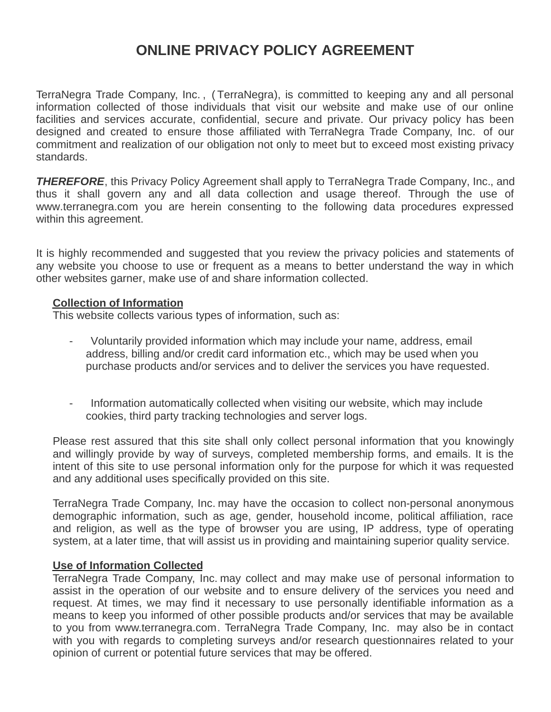# **ONLINE PRIVACY POLICY AGREEMENT**

TerraNegra Trade Company, Inc. , ( TerraNegra), is committed to keeping any and all personal information collected of those individuals that visit our website and make use of our online facilities and services accurate, confidential, secure and private. Our privacy policy has been designed and created to ensure those affiliated with TerraNegra Trade Company, Inc. of our commitment and realization of our obligation not only to meet but to exceed most existing privacy standards.

*THEREFORE*, this Privacy Policy Agreement shall apply to TerraNegra Trade Company, Inc., and thus it shall govern any and all data collection and usage thereof. Through the use of www.terranegra.com you are herein consenting to the following data procedures expressed within this agreement.

It is highly recommended and suggested that you review the privacy policies and statements of any website you choose to use or frequent as a means to better understand the way in which other websites garner, make use of and share information collected.

## **Collection of Information**

This website collects various types of information, such as:

- Voluntarily provided information which may include your name, address, email address, billing and/or credit card information etc., which may be used when you purchase products and/or services and to deliver the services you have requested.
- Information automatically collected when visiting our website, which may include cookies, third party tracking technologies and server logs.

Please rest assured that this site shall only collect personal information that you knowingly and willingly provide by way of surveys, completed membership forms, and emails. It is the intent of this site to use personal information only for the purpose for which it was requested and any additional uses specifically provided on this site.

TerraNegra Trade Company, Inc. may have the occasion to collect non-personal anonymous demographic information, such as age, gender, household income, political affiliation, race and religion, as well as the type of browser you are using, IP address, type of operating system, at a later time, that will assist us in providing and maintaining superior quality service.

## **Use of Information Collected**

TerraNegra Trade Company, Inc. may collect and may make use of personal information to assist in the operation of our website and to ensure delivery of the services you need and request. At times, we may find it necessary to use personally identifiable information as a means to keep you informed of other possible products and/or services that may be available to you from www.terranegra.com. TerraNegra Trade Company, Inc. may also be in contact with you with regards to completing surveys and/or research questionnaires related to your opinion of current or potential future services that may be offered.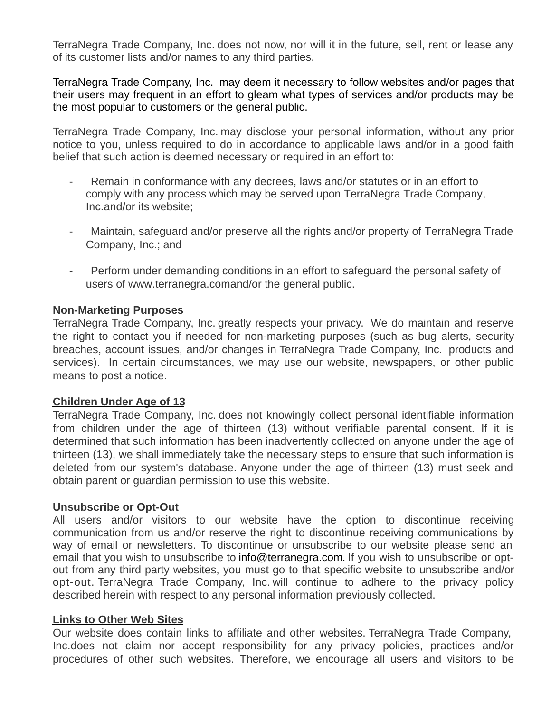TerraNegra Trade Company, Inc. does not now, nor will it in the future, sell, rent or lease any of its customer lists and/or names to any third parties.

TerraNegra Trade Company, Inc. may deem it necessary to follow websites and/or pages that their users may frequent in an effort to gleam what types of services and/or products may be the most popular to customers or the general public.

TerraNegra Trade Company, Inc. may disclose your personal information, without any prior notice to you, unless required to do in accordance to applicable laws and/or in a good faith belief that such action is deemed necessary or required in an effort to:

- Remain in conformance with any decrees, laws and/or statutes or in an effort to comply with any process which may be served upon TerraNegra Trade Company, Inc.and/or its website;
- Maintain, safeguard and/or preserve all the rights and/or property of TerraNegra Trade Company, Inc.; and
- Perform under demanding conditions in an effort to safeguard the personal safety of users of www.terranegra.comand/or the general public.

# **Non-Marketing Purposes**

TerraNegra Trade Company, Inc. greatly respects your privacy. We do maintain and reserve the right to contact you if needed for non-marketing purposes (such as bug alerts, security breaches, account issues, and/or changes in TerraNegra Trade Company, Inc. products and services). In certain circumstances, we may use our website, newspapers, or other public means to post a notice.

## **Children Under Age of 13**

TerraNegra Trade Company, Inc. does not knowingly collect personal identifiable information from children under the age of thirteen (13) without verifiable parental consent. If it is determined that such information has been inadvertently collected on anyone under the age of thirteen (13), we shall immediately take the necessary steps to ensure that such information is deleted from our system's database. Anyone under the age of thirteen (13) must seek and obtain parent or guardian permission to use this website.

## **Unsubscribe or Opt-Out**

All users and/or visitors to our website have the option to discontinue receiving communication from us and/or reserve the right to discontinue receiving communications by way of email or newsletters. To discontinue or unsubscribe to our website please send an email that you wish to unsubscribe to info@terranegra.com. If you wish to unsubscribe or optout from any third party websites, you must go to that specific website to unsubscribe and/or opt-out. TerraNegra Trade Company, Inc. will continue to adhere to the privacy policy described herein with respect to any personal information previously collected.

## **Links to Other Web Sites**

Our website does contain links to affiliate and other websites. TerraNegra Trade Company, Inc.does not claim nor accept responsibility for any privacy policies, practices and/or procedures of other such websites. Therefore, we encourage all users and visitors to be